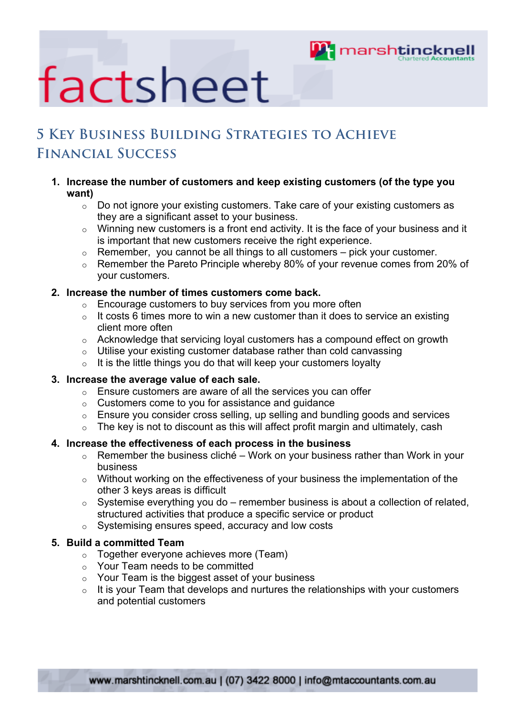

## factsheet

### **5 Key Business Building Strategies to Achieve Financial Success**

#### **1. Increase the number of customers and keep existing customers (of the type you want)**

- o Do not ignore your existing customers. Take care of your existing customers as they are a significant asset to your business.
- $\circ$  Winning new customers is a front end activity. It is the face of your business and it is important that new customers receive the right experience.
- $\circ$  Remember, you cannot be all things to all customers pick your customer.
- o Remember the Pareto Principle whereby 80% of your revenue comes from 20% of your customers.

#### **2. Increase the number of times customers come back.**

- o Encourage customers to buy services from you more often
- $\circ$  It costs 6 times more to win a new customer than it does to service an existing client more often
- o Acknowledge that servicing loyal customers has a compound effect on growth
- o Utilise your existing customer database rather than cold canvassing
- $\circ$  It is the little things you do that will keep your customers loyalty

#### **3. Increase the average value of each sale.**

- $\circ$  Ensure customers are aware of all the services you can offer
- o Customers come to you for assistance and guidance
- $\circ$  Ensure you consider cross selling, up selling and bundling goods and services
- $\circ$  The key is not to discount as this will affect profit margin and ultimately, cash

#### **4. Increase the effectiveness of each process in the business**

- $\circ$  Remember the business cliché Work on your business rather than Work in your business
- o Without working on the effectiveness of your business the implementation of the other 3 keys areas is difficult
- $\circ$  Systemise everything you do remember business is about a collection of related, structured activities that produce a specific service or product
- o Systemising ensures speed, accuracy and low costs

#### **5. Build a committed Team**

- o Together everyone achieves more (Team)
- o Your Team needs to be committed
- o Your Team is the biggest asset of your business
- $\circ$  It is your Team that develops and nurtures the relationships with your customers and potential customers